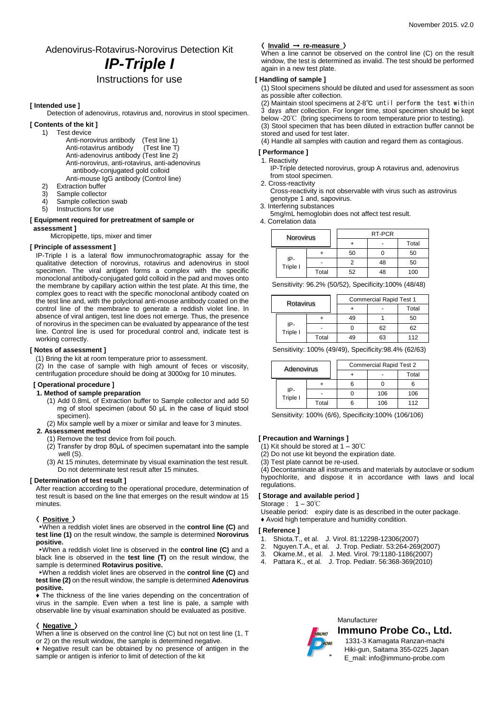## Adenovirus-Rotavirus-Norovirus Detection Kit *IP-Triple I*

### Instructions for use

#### **[ Intended use ]**

Detection of adenovirus, rotavirus and, norovirus in stool specimen.

- **[ Contents of the kit ]** 
	- 1) Test device Anti-norovirus antibody (Test line 1)<br>Anti-rotavirus antibody (Test line T) Anti-rotavirus antibody Anti-adenovirus antibody (Test line 2) Anti-norovirus, anti-rotavirus, anti-adenovirus antibody-conjugated gold colloid Anti-mouse IgG antibody (Control line)
	- 2) Extraction buffer
	- 3) Sample collector
	-
	- 4) Sample collection swab<br>5) Instructions for use Instructions for use

#### **[ Equipment required for pretreatment of sample or assessment ]**

Micropipette, tips, mixer and timer

#### **[ Principle of assessment ]**

IP-Triple I is a lateral flow immunochromatographic assay for the qualitative detection of norovirus, rotavirus and adenovirus in stool specimen. The viral antigen forms a complex with the specific monoclonal antibody-conjugated gold colloid in the pad and moves onto the membrane by capillary action within the test plate. At this time, the complex goes to react with the specific monoclonal antibody coated on the test line and, with the polyclonal anti-mouse antibody coated on the control line of the membrane to generate a reddish violet line. In absence of viral antigen, test line does not emerge. Thus, the presence of norovirus in the specimen can be evaluated by appearance of the test line. Control line is used for procedural control and, indicate test is working correctly.

#### **[ Notes of assessment ]**

(1) Bring the kit at room temperature prior to assessment.

 $(2)$  In the case of sample with high amount of feces or viscosity, centrifugation procedure should be doing at 3000xg for 10 minutes.

#### **[ Operational procedure ]**

#### **1. Method of sample preparation**

- (1) Add 0.8mL of Extraction buffer to Sample collector and add 50 mg of stool specimen (about 50 μL in the case of liquid stool specimen).
- (2) Mix sample well by a mixer or similar and leave for 3 minutes.

**2. Assessment method** 

- (1) Remove the test device from foil pouch.
- (2) Transfer by drop 80μL of specimen supernatant into the sample well (S).
- (3) At 15 minutes, determinate by visual examination the test result. Do not determinate test result after 15 minutes.

#### **[ Determination of test result ]**

After reaction according to the operational procedure, determination of test result is based on the line that emerges on the result window at 15 minutes.

#### 〈 **Positive** 〉

►When a reddish violet lines are observed in the **control line (C)** and **test line (1)** on the result window, the sample is determined **Norovirus positive.**

►When a reddish violet line is observed in the **control line (C)** and a black line is observed in the **test line (T)** on the result window, the sample is determined **Rotavirus positive.**

►When a reddish violet lines are observed in the **control line (C)** and **test line (2)** on the result window, the sample is determined **Adenovirus positive.**

♦ The thickness of the line varies depending on the concentration of virus in the sample. Even when a test line is pale, a sample with observable line by visual examination should be evaluated as positive.

#### 〈 **Negative** 〉

When a line is observed on the control line (C) but not on test line (1, T or 2) on the result window, the sample is determined negative.

♦ Negative result can be obtained by no presence of antigen in the sample or antigen is inferior to limit of detection of the kit

#### 〈 **Invalid** → **re-measure** 〉

When a line cannot be observed on the control line (C) on the result window, the test is determined as invalid. The test should be performed again in a new test plate.

#### **[ Handling of sample ]**

(1) Stool specimens should be diluted and used for assessment as soon as possible after collection.

(2) Maintain stool specimens at 2-8℃ until perform the test within 3 days after collection. For longer time, stool specimen should be kept below -20℃ (bring specimens to room temperature prior to testing). (3) Stool specimen that has been diluted in extraction buffer cannot be stored and used for test later.

(4) Handle all samples with caution and regard them as contagious.

#### **[ Performance ]**

1. Reactivity IP-Triple detected norovirus, group A rotavirus and, adenovirus

from stool specimen.

- 2. Cross-reactivity
- Cross-reactivity is not observable with virus such as astrovirus genotype 1 and, sapovirus.

3. Interfering substances

5mg/mL hemoglobin does not affect test result. 4. Correlation data

| Norovirus |                 | RT-PCR |    |       |     |
|-----------|-----------------|--------|----|-------|-----|
|           |                 |        |    | Total |     |
|           | IP-<br>Triple I |        | 50 |       | 50  |
|           |                 |        |    | 48    | 50  |
|           |                 | Total  | 52 | 48    | 100 |

Sensitivity: 96.2% (50/52), Specificity:100% (48/48)

| Rotavirus |                 |       | <b>Commercial Rapid Test 1</b> |       |     |
|-----------|-----------------|-------|--------------------------------|-------|-----|
|           |                 |       |                                | Total |     |
|           | IP-<br>Triple I |       | 49                             |       | 50  |
|           |                 |       |                                | 62    | 62  |
|           |                 | Total | 19                             | 63    | 112 |

Sensitivity: 100% (49/49), Specificity:98.4% (62/63)

| Adenovirus |                 |       | <b>Commercial Rapid Test 2</b> |       |     |
|------------|-----------------|-------|--------------------------------|-------|-----|
|            |                 |       |                                | Total |     |
|            | IP-<br>Triple I |       | 6                              |       |     |
|            |                 |       |                                | 106   | 106 |
|            |                 | Total |                                | 106   | 112 |

Sensitivity: 100% (6/6), Specificity:100% (106/106)

#### **[ Precaution and Warnings ]**

(1) Kit should be stored at  $1 - 30^{\circ}$ C

(2) Do not use kit beyond the expiration date.

(3) Test plate cannot be re-used.

(4) Decontaminate all instruments and materials by autoclave or sodium hypochlorite, and dispose it in accordance with laws and local regulations.

#### **[ Storage and available period ]**

Storage :  $1 - 30^\circ \text{C}$ 

Useable period: expiry date is as described in the outer package. ♦ Avoid high temperature and humidity condition.

#### **[ Reference ]**

- 1. Shiota.T., et al. J. Virol. 81:12298-12306(2007)
- 2. Nguyen.T.A., et al. J. Trop. Pediatr. 53:264-269(2007)
- 3. Okame.M., et al. J. Med. Virol. 79:1180-1186(2007)
- 4. Pattara K., et al. J. Trop. Pediatr. 56:368-369(2010)



**Manufacturer Immuno Probe Co., Ltd.**

 1331-3 Kamagata Ranzan-machi Hiki-gun, Saitama 355-0225 Japan E\_mail: info@immuno-probe.com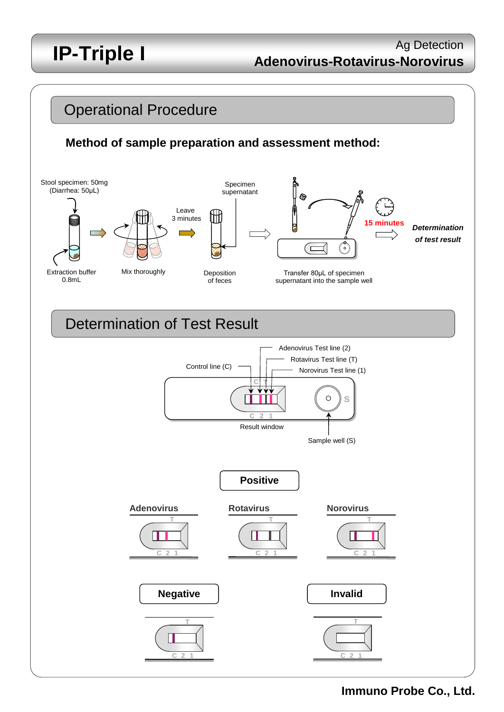# **IP-Triple I**

## **Adenovirus-Rotavirus-Norovirus** Ag Detection